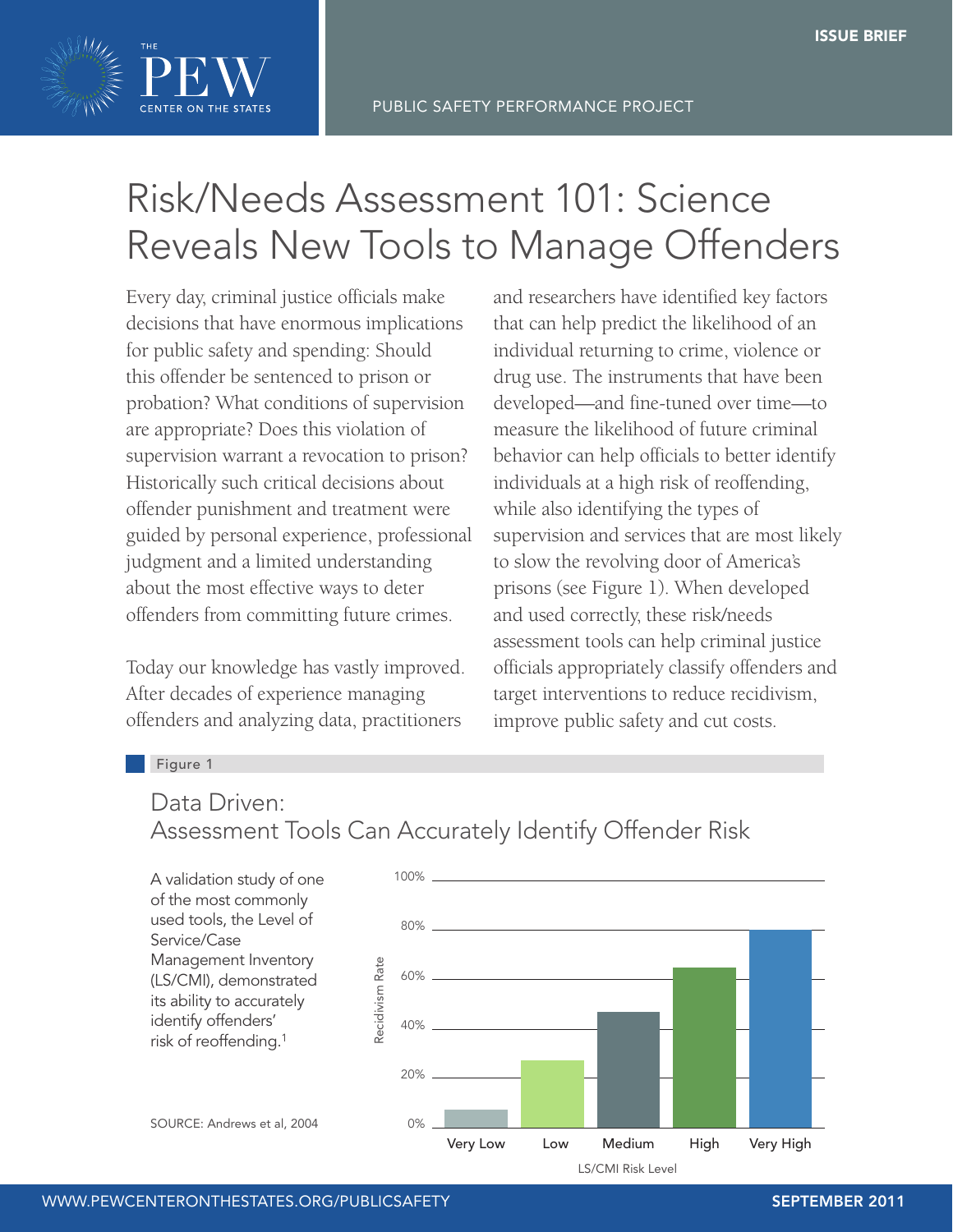

## Risk/Needs Assessment 101: Science Reveals New Tools to Manage Offenders

Every day, criminal justice officials make decisions that have enormous implications for public safety and spending: Should this offender be sentenced to prison or probation? What conditions of supervision are appropriate? Does this violation of supervision warrant a revocation to prison? Historically such critical decisions about offender punishment and treatment were guided by personal experience, professional judgment and a limited understanding about the most effective ways to deter offenders from committing future crimes.

Today our knowledge has vastly improved. After decades of experience managing offenders and analyzing data, practitioners

and researchers have identified key factors that can help predict the likelihood of an individual returning to crime, violence or drug use. The instruments that have been developed—and fine-tuned over time—to measure the likelihood of future criminal behavior can help officials to better identify individuals at a high risk of reoffending, while also identifying the types of supervision and services that are most likely to slow the revolving door of America's prisons (see Figure 1). When developed and used correctly, these risk/needs assessment tools can help criminal justice officials appropriately classify offenders and target interventions to reduce recidivism, improve public safety and cut costs.

#### Figure 1

### Data Driven: Assessment Tools Can Accurately Identify Offender Risk

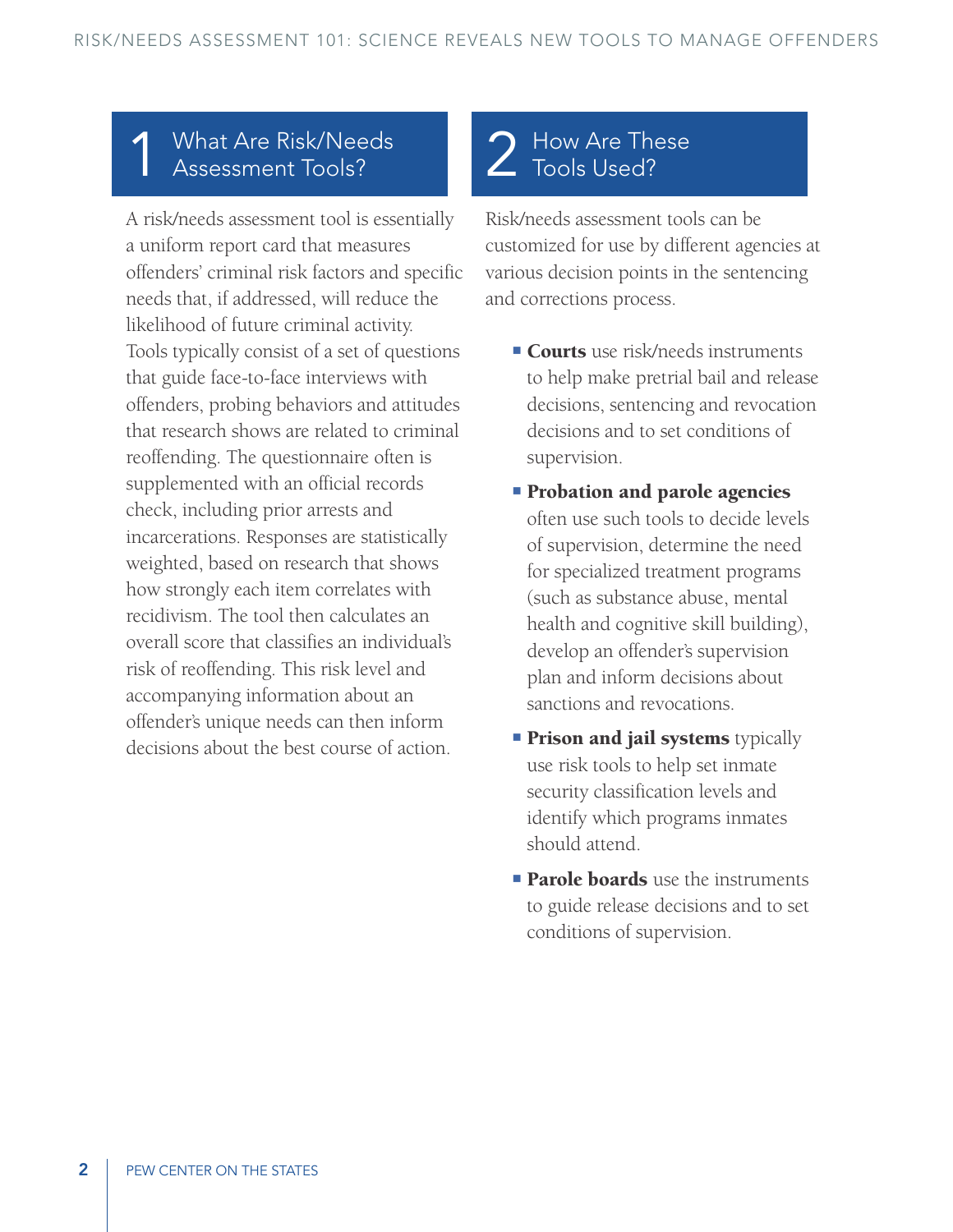### **What Are Risk/Needs** Assessment Tools?

A risk/needs assessment tool is essentially a uniform report card that measures offenders' criminal risk factors and specific needs that, if addressed, will reduce the likelihood of future criminal activity. Tools typically consist of a set of questions that guide face-to-face interviews with offenders, probing behaviors and attitudes that research shows are related to criminal reoffending. The questionnaire often is supplemented with an official records check, including prior arrests and incarcerations. Responses are statistically weighted, based on research that shows how strongly each item correlates with recidivism. The tool then calculates an overall score that classifies an individual's risk of reoffending. This risk level and accompanying information about an offender's unique needs can then inform decisions about the best course of action.

## 2 How Are These Tools Used?

Risk/needs assessment tools can be customized for use by different agencies at various decision points in the sentencing and corrections process.

- **Courts** use risk/needs instruments to help make pretrial bail and release decisions, sentencing and revocation decisions and to set conditions of supervision.
- **Probation and parole agencies** often use such tools to decide levels of supervision, determine the need for specialized treatment programs (such as substance abuse, mental health and cognitive skill building), develop an offender's supervision plan and inform decisions about sanctions and revocations.
- **Prison and jail systems** typically use risk tools to help set inmate security classification levels and identify which programs inmates should attend.
- **Parole boards** use the instruments to guide release decisions and to set conditions of supervision.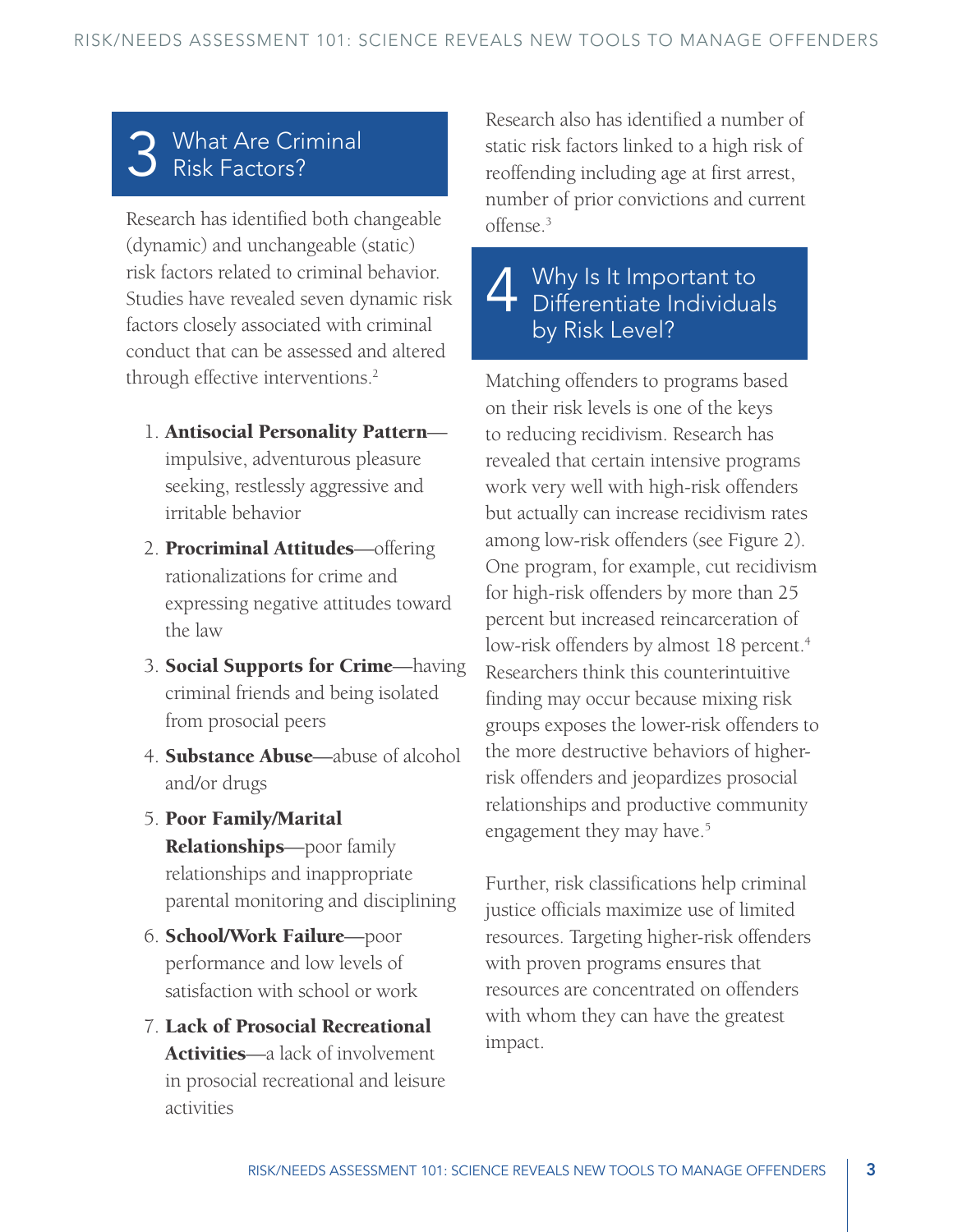# 3 What Are Criminal Risk Factors?

Research has identified both changeable (dynamic) and unchangeable (static) risk factors related to criminal behavior. Studies have revealed seven dynamic risk factors closely associated with criminal conduct that can be assessed and altered through effective interventions.<sup>2</sup>

- 1. Antisocial Personality Pattern impulsive, adventurous pleasure seeking, restlessly aggressive and irritable behavior
- 2. Procriminal Attitudes—offering rationalizations for crime and expressing negative attitudes toward the law
- 3. Social Supports for Crime—having criminal friends and being isolated from prosocial peers
- 4. Substance Abuse—abuse of alcohol and/or drugs
- 5. Poor Family/Marital Relationships—poor family relationships and inappropriate parental monitoring and disciplining
- 6. School/Work Failure—poor performance and low levels of satisfaction with school or work
- 7. Lack of Prosocial Recreational Activities—a lack of involvement in prosocial recreational and leisure activities

Research also has identified a number of static risk factors linked to a high risk of reoffending including age at first arrest, number of prior convictions and current offense.3

4 Why Is It Important to<br>
Differentiate Individuals by Risk Level?

Matching offenders to programs based on their risk levels is one of the keys to reducing recidivism. Research has revealed that certain intensive programs work very well with high-risk offenders but actually can increase recidivism rates among low-risk offenders (see Figure 2). One program, for example, cut recidivism for high-risk offenders by more than 25 percent but increased reincarceration of low-risk offenders by almost 18 percent.<sup>4</sup> Researchers think this counterintuitive finding may occur because mixing risk groups exposes the lower-risk offenders to the more destructive behaviors of higherrisk offenders and jeopardizes prosocial relationships and productive community engagement they may have.<sup>5</sup>

Further, risk classifications help criminal justice officials maximize use of limited resources. Targeting higher-risk offenders with proven programs ensures that resources are concentrated on offenders with whom they can have the greatest impact.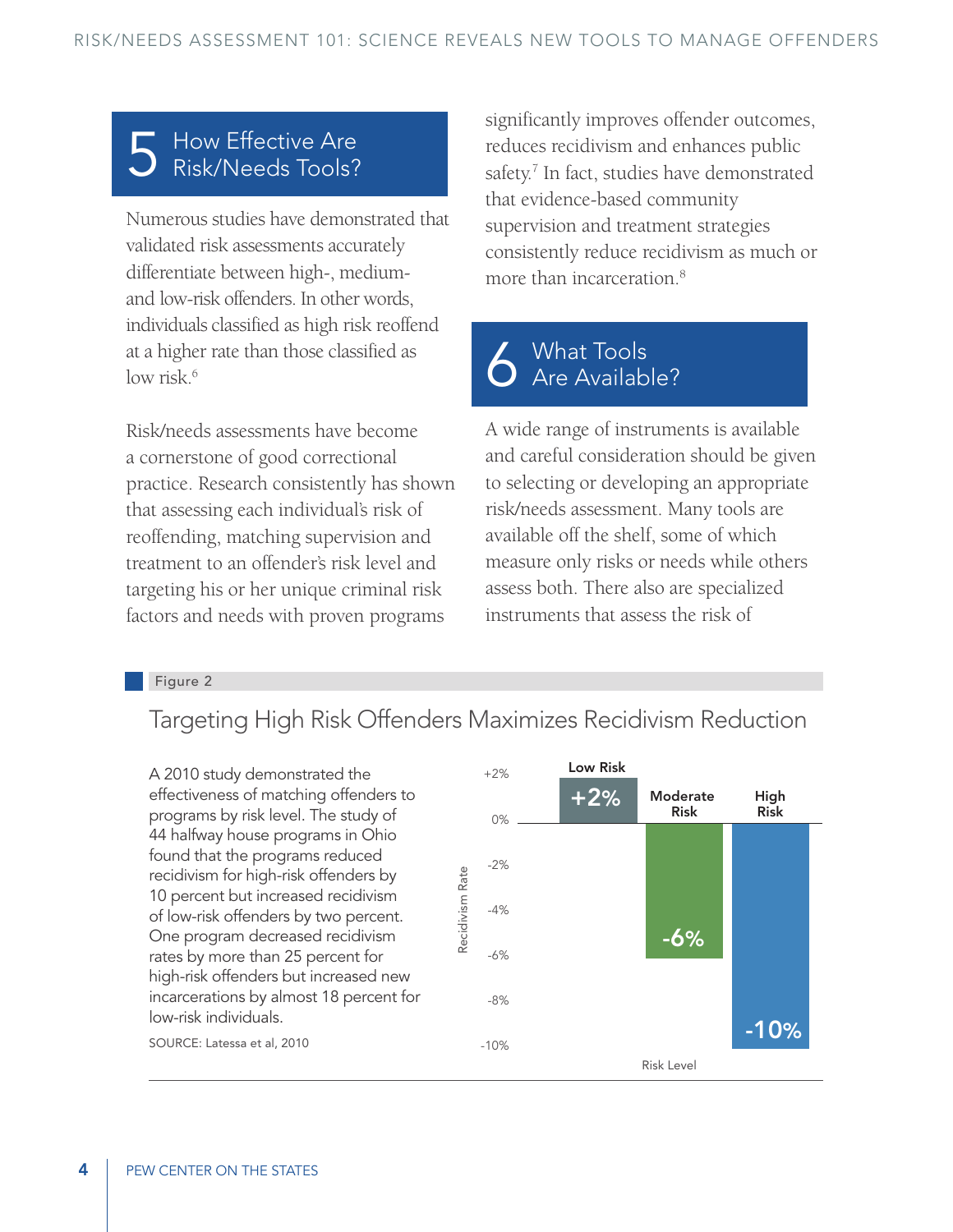### How Effective Are Risk/Needs Tools?

Numerous studies have demonstrated that validated risk assessments accurately differentiate between high-, mediumand low-risk offenders. In other words, individuals classified as high risk reoffend at a higher rate than those classified as low risk.<sup>6</sup>

Risk/needs assessments have become a cornerstone of good correctional practice. Research consistently has shown that assessing each individual's risk of reoffending, matching supervision and treatment to an offender's risk level and targeting his or her unique criminal risk factors and needs with proven programs

significantly improves offender outcomes, reduces recidivism and enhances public safety.<sup>7</sup> In fact, studies have demonstrated that evidence-based community supervision and treatment strategies consistently reduce recidivism as much or more than incarceration.<sup>8</sup>

# 6 What Tools<br>6 Are Available?

A wide range of instruments is available and careful consideration should be given to selecting or developing an appropriate risk/needs assessment. Many tools are available off the shelf, some of which measure only risks or needs while others assess both. There also are specialized instruments that assess the risk of

#### Figure 2

### Targeting High Risk Offenders Maximizes Recidivism Reduction

A 2010 study demonstrated the effectiveness of matching offenders to programs by risk level. The study of 44 halfway house programs in Ohio found that the programs reduced recidivism for high-risk offenders by 10 percent but increased recidivism of low-risk offenders by two percent. One program decreased recidivism rates by more than 25 percent for high-risk offenders but increased new incarcerations by almost 18 percent for low-risk individuals.



SOURCE: Latessa et al, 2010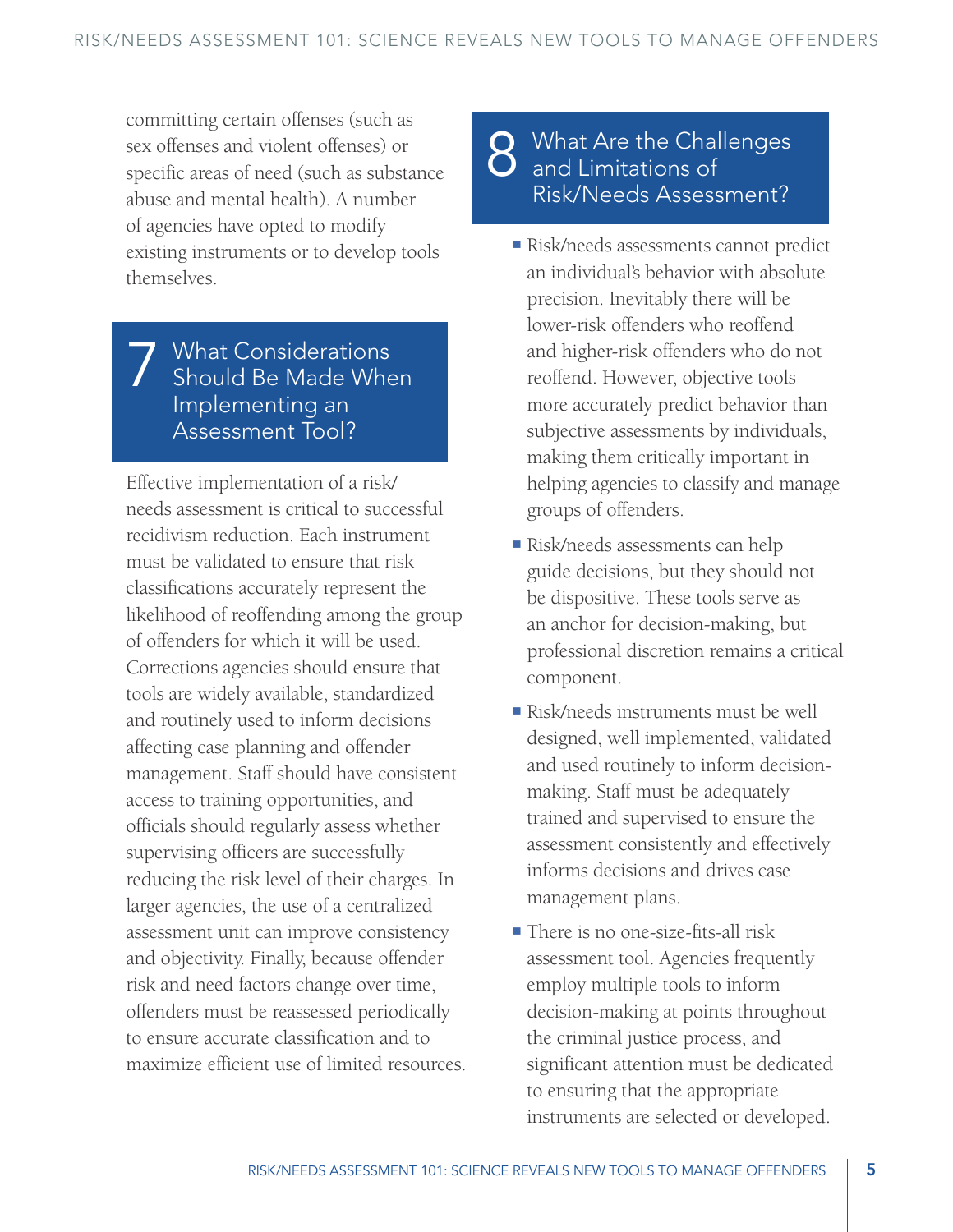committing certain offenses (such as sex offenses and violent offenses) or specific areas of need (such as substance abuse and mental health). A number of agencies have opted to modify existing instruments or to develop tools themselves.

### 7 What Considerations Should Be Made When Implementing an Assessment Tool?

Effective implementation of a risk/ needs assessment is critical to successful recidivism reduction. Each instrument must be validated to ensure that risk classifications accurately represent the likelihood of reoffending among the group of offenders for which it will be used. Corrections agencies should ensure that tools are widely available, standardized and routinely used to inform decisions affecting case planning and offender management. Staff should have consistent access to training opportunities, and officials should regularly assess whether supervising officers are successfully reducing the risk level of their charges. In larger agencies, the use of a centralized assessment unit can improve consistency and objectivity. Finally, because offender risk and need factors change over time, offenders must be reassessed periodically to ensure accurate classification and to maximize efficient use of limited resources.

## 8 What Are the Challenges<br>
8 and Limitations of Risk/Needs Assessment?

- Risk/needs assessments cannot predict an individual's behavior with absolute precision. Inevitably there will be lower-risk offenders who reoffend and higher-risk offenders who do not reoffend. However, objective tools more accurately predict behavior than subjective assessments by individuals, making them critically important in helping agencies to classify and manage groups of offenders.
- Risk/needs assessments can help guide decisions, but they should not be dispositive. These tools serve as an anchor for decision-making, but professional discretion remains a critical component.
- Risk/needs instruments must be well designed, well implemented, validated and used routinely to inform decisionmaking. Staff must be adequately trained and supervised to ensure the assessment consistently and effectively informs decisions and drives case management plans.
- There is no one-size-fits-all risk assessment tool. Agencies frequently employ multiple tools to inform decision-making at points throughout the criminal justice process, and significant attention must be dedicated to ensuring that the appropriate instruments are selected or developed.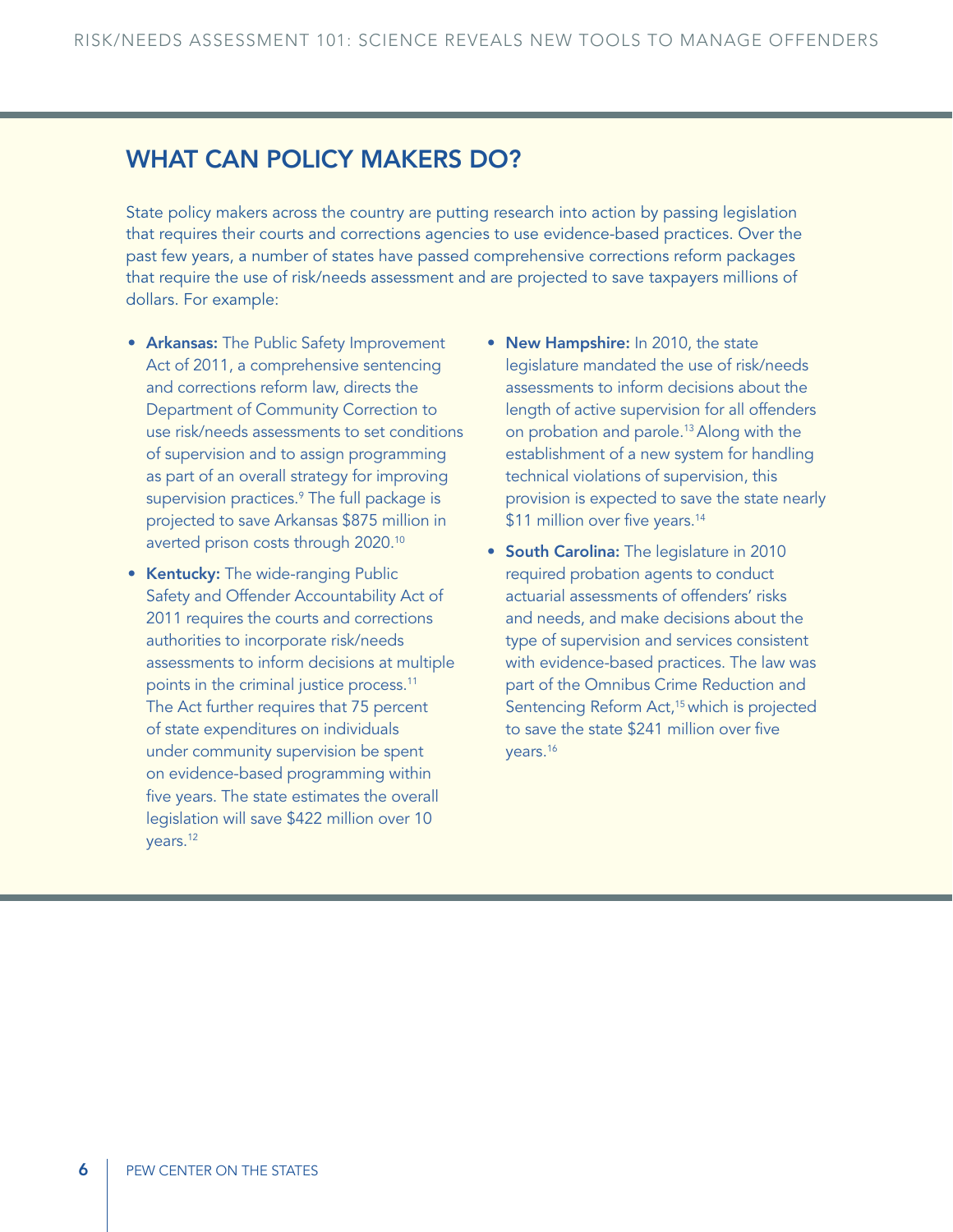#### What Can Policy Makers Do?

State policy makers across the country are putting research into action by passing legislation that requires their courts and corrections agencies to use evidence-based practices. Over the past few years, a number of states have passed comprehensive corrections reform packages that require the use of risk/needs assessment and are projected to save taxpayers millions of dollars. For example:

- Arkansas: The Public Safety Improvement Act of 2011, a comprehensive sentencing and corrections reform law, directs the Department of Community Correction to use risk/needs assessments to set conditions of supervision and to assign programming as part of an overall strategy for improving supervision practices.<sup>9</sup> The full package is projected to save Arkansas \$875 million in averted prison costs through 2020.10
- Kentucky: The wide-ranging Public Safety and Offender Accountability Act of 2011 requires the courts and corrections authorities to incorporate risk/needs assessments to inform decisions at multiple points in the criminal justice process.<sup>11</sup> The Act further requires that 75 percent of state expenditures on individuals under community supervision be spent on evidence-based programming within five years. The state estimates the overall legislation will save \$422 million over 10 years.12
- New Hampshire: In 2010, the state legislature mandated the use of risk/needs assessments to inform decisions about the length of active supervision for all offenders on probation and parole.13 Along with the establishment of a new system for handling technical violations of supervision, this provision is expected to save the state nearly \$11 million over five years.<sup>14</sup>
- South Carolina: The legislature in 2010 required probation agents to conduct actuarial assessments of offenders' risks and needs, and make decisions about the type of supervision and services consistent with evidence-based practices. The law was part of the Omnibus Crime Reduction and Sentencing Reform Act,<sup>15</sup> which is projected to save the state \$241 million over five years.16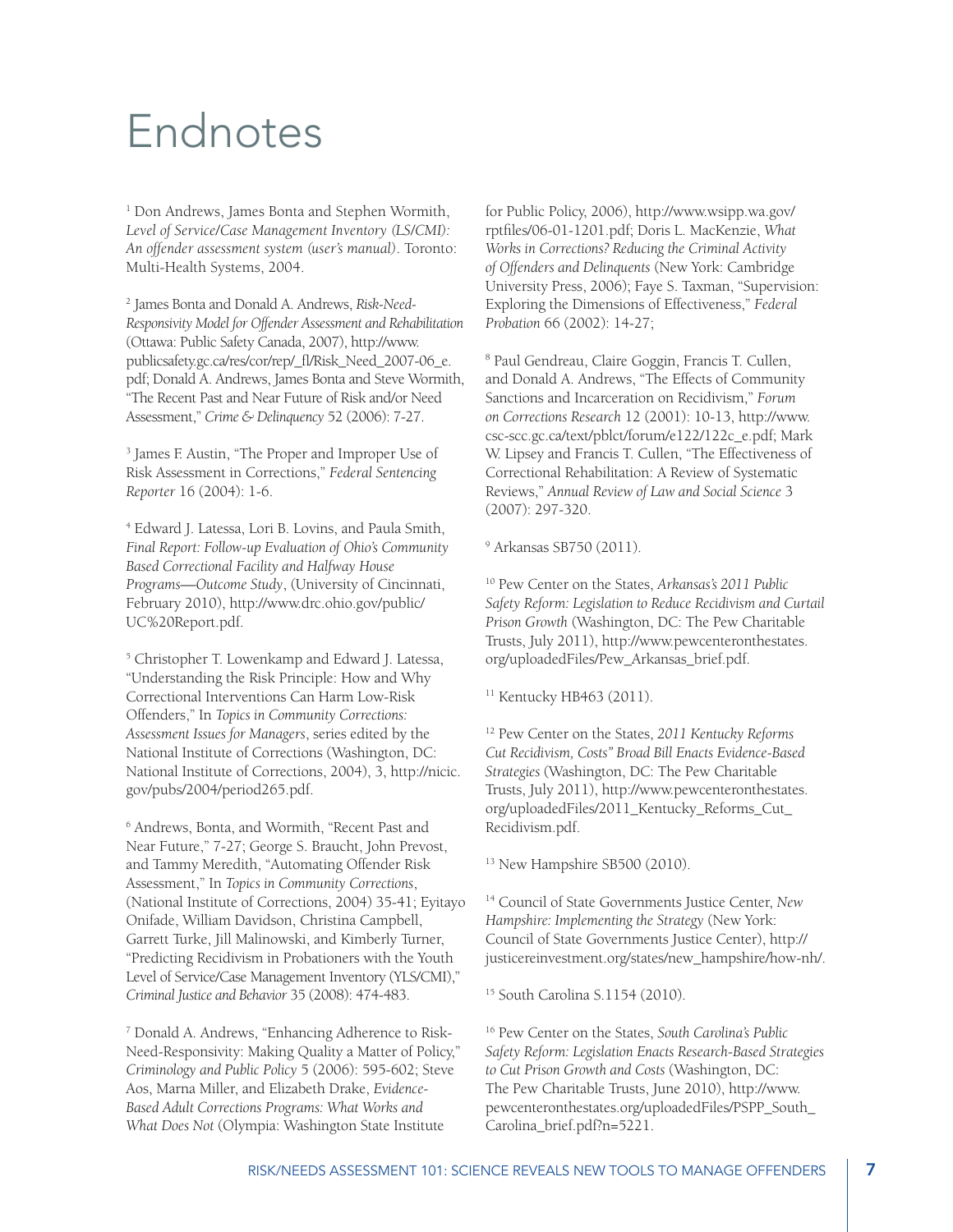## Endnotes

<sup>1</sup> Don Andrews, James Bonta and Stephen Wormith, *Level of Service/Case Management Inventory (LS/CMI): An offender assessment system (user's manual)*. Toronto: Multi-Health Systems, 2004.

2 James Bonta and Donald A. Andrews, *Risk-Need-Responsivity Model for Offender Assessment and Rehabilitation* (Ottawa: Public Safety Canada, 2007), http://www. publicsafety.gc.ca/res/cor/rep/\_fl/Risk\_Need\_2007-06\_e. pdf; Donald A. Andrews, James Bonta and Steve Wormith, "The Recent Past and Near Future of Risk and/or Need Assessment," *Crime & Delinquency* 52 (2006): 7-27.

<sup>3</sup> James F. Austin, "The Proper and Improper Use of Risk Assessment in Corrections," *Federal Sentencing Reporter* 16 (2004): 1-6.

4 Edward J. Latessa, Lori B. Lovins, and Paula Smith, *Final Report: Follow-up Evaluation of Ohio's Community Based Correctional Facility and Halfway House Programs—Outcome Study*, (University of Cincinnati, February 2010), http://www.drc.ohio.gov/public/ UC%20Report.pdf.

5 Christopher T. Lowenkamp and Edward J. Latessa, "Understanding the Risk Principle: How and Why Correctional Interventions Can Harm Low-Risk Offenders," In *Topics in Community Corrections: Assessment Issues for Managers*, series edited by the National Institute of Corrections (Washington, DC: National Institute of Corrections, 2004), 3, http://nicic. gov/pubs/2004/period265.pdf.

6 Andrews, Bonta, and Wormith, "Recent Past and Near Future," 7-27; George S. Braucht, John Prevost, and Tammy Meredith, "Automating Offender Risk Assessment," In *Topics in Community Corrections*, (National Institute of Corrections, 2004) 35-41; Eyitayo Onifade, William Davidson, Christina Campbell, Garrett Turke, Jill Malinowski, and Kimberly Turner, "Predicting Recidivism in Probationers with the Youth Level of Service/Case Management Inventory (YLS/CMI)," *Criminal Justice and Behavior* 35 (2008): 474-483.

7 Donald A. Andrews, "Enhancing Adherence to Risk-Need-Responsivity: Making Quality a Matter of Policy," *Criminology and Public Policy* 5 (2006): 595-602; Steve Aos, Marna Miller, and Elizabeth Drake, *Evidence-Based Adult Corrections Programs: What Works and What Does Not* (Olympia: Washington State Institute

for Public Policy, 2006), http://www.wsipp.wa.gov/ rptfiles/06-01-1201.pdf; Doris L. MacKenzie, *What Works in Corrections? Reducing the Criminal Activity of Offenders and Delinquents* (New York: Cambridge University Press, 2006); Faye S. Taxman, "Supervision: Exploring the Dimensions of Effectiveness," *Federal Probation* 66 (2002): 14-27;

8 Paul Gendreau, Claire Goggin, Francis T. Cullen, and Donald A. Andrews, "The Effects of Community Sanctions and Incarceration on Recidivism," *Forum on Corrections Research* 12 (2001): 10-13, http://www. csc-scc.gc.ca/text/pblct/forum/e122/122c\_e.pdf; Mark W. Lipsey and Francis T. Cullen, "The Effectiveness of Correctional Rehabilitation: A Review of Systematic Reviews," *Annual Review of Law and Social Science* 3 (2007): 297-320.

9 Arkansas SB750 (2011).

10 Pew Center on the States, *Arkansas's 2011 Public Safety Reform: Legislation to Reduce Recidivism and Curtail Prison Growth* (Washington, DC: The Pew Charitable Trusts, July 2011), http://www.pewcenteronthestates. org/uploadedFiles/Pew\_Arkansas\_brief.pdf.

<sup>11</sup> Kentucky HB463 (2011).

12 Pew Center on the States, *2011 Kentucky Reforms Cut Recidivism, Costs" Broad Bill Enacts Evidence-Based Strategies* (Washington, DC: The Pew Charitable Trusts, July 2011), http://www.pewcenteronthestates. org/uploadedFiles/2011\_Kentucky\_Reforms\_Cut\_ Recidivism.pdf.

<sup>13</sup> New Hampshire SB500 (2010).

14 Council of State Governments Justice Center, *New Hampshire: Implementing the Strategy* (New York: Council of State Governments Justice Center), http:// justicereinvestment.org/states/new\_hampshire/how-nh/.

15 South Carolina S.1154 (2010).

16 Pew Center on the States, *South Carolina's Public Safety Reform: Legislation Enacts Research-Based Strategies to Cut Prison Growth and Costs* (Washington, DC: The Pew Charitable Trusts, June 2010), http://www. pewcenteronthestates.org/uploadedFiles/PSPP\_South\_ Carolina\_brief.pdf?n=5221.